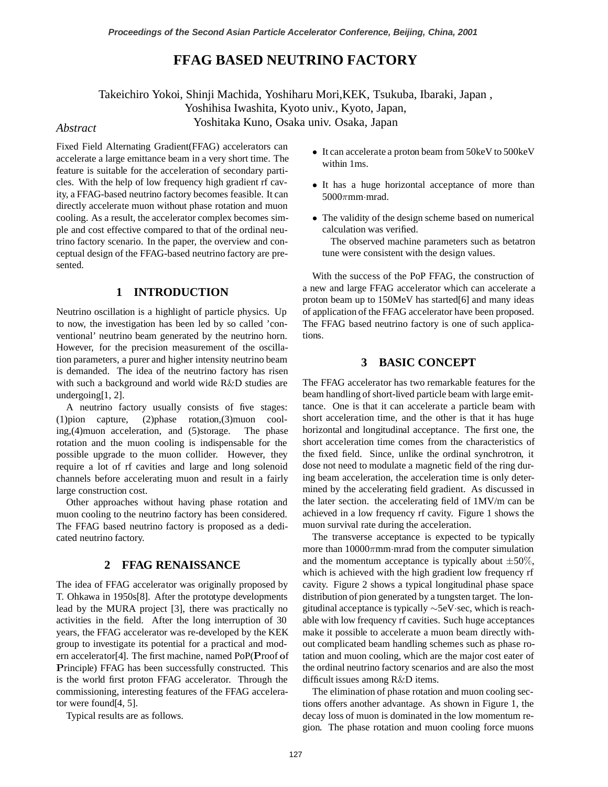# **FFAG BASED NEUTRINO FACTORY**

Takeichiro Yokoi, Shinji Machida, Yoshiharu Mori,KEK, Tsukuba, Ibaraki, Japan , Yoshihisa Iwashita, Kyoto univ., Kyoto, Japan, Yoshitaka Kuno, Osaka univ. Osaka, Japan *Abstract*

Fixed Field Alternating Gradient(FFAG) accelerators can accelerate a large emittance beam in a very short time. The feature is suitable for the acceleration of secondary particles. With the help of low frequency high gradient rf cavity, a FFAG-based neutrino factory becomes feasible. It can directly accelerate muon without phase rotation and muon cooling. As a result, the accelerator complex becomes simple and cost effective compared to that of the ordinal neutrino factory scenario. In the paper, the overview and conceptual design of the FFAG-based neutrino factory are presented.

## **1 INTRODUCTION**

Neutrino oscillation is a highlight of particle physics. Up to now, the investigation has been led by so called 'conventional' neutrino beam generated by the neutrino horn. However, for the precision measurement of the oscillation parameters, a purer and higher intensity neutrino beam is demanded. The idea of the neutrino factory has risen with such a background and world wide R&D studies are undergoing[1, 2].

A neutrino factory usually consists of five stages: (1)pion capture, (2)phase rotation,(3)muon cooling,(4)muon acceleration, and (5)storage. The phase rotation and the muon cooling is indispensable for the possible upgrade to the muon collider. However, they require a lot of rf cavities and large and long solenoid channels before accelerating muon and result in a fairly large construction cost.

Other approaches without having phase rotation and muon cooling to the neutrino factory has been considered. The FFAG based neutrino factory is proposed as a dedicated neutrino factory.

## **2 FFAG RENAISSANCE**

The idea of FFAG accelerator was originally proposed by T. Ohkawa in 1950s[8]. After the prototype developments lead by the MURA project [3], there was practically no activities in the field. After the long interruption of 30 years, the FFAG accelerator was re-developed by the KEK group to investigate its potential for a practical and modern accelerator[4]. The first machine, named PoP(**P**roof **o**f **P**rinciple) FFAG has been successfully constructed. This is the world first proton FFAG accelerator. Through the commissioning, interesting features of the FFAG accelerator were found[4, 5].

Typical results are as follows.

- It can accelerate a proton beam from 50keV to 500keV within 1ms.
- It has a huge horizontal acceptance of more than  $5000\pi$ mm·mrad.
- The validity of the design scheme based on numerical calculation was verified.

The observed machine parameters such as betatron tune were consistent with the design values.

With the success of the PoP FFAG, the construction of a new and large FFAG accelerator which can accelerate a proton beam up to 150MeV has started[6] and many ideas of application of the FFAG accelerator have been proposed. The FFAG based neutrino factory is one of such applications.

## **3 BASIC CONCEPT**

The FFAG accelerator has two remarkable features for the beam handling of short-lived particle beam with large emittance. One is that it can accelerate a particle beam with short acceleration time, and the other is that it has huge horizontal and longitudinal acceptance. The first one, the short acceleration time comes from the characteristics of the fixed field. Since, unlike the ordinal synchrotron, it dose not need to modulate a magnetic field of the ring during beam acceleration, the acceleration time is only determined by the accelerating field gradient. As discussed in the later section. the accelerating field of 1MV/m can be achieved in a low frequency rf cavity. Figure 1 shows the muon survival rate during the acceleration.

The transverse acceptance is expected to be typically more than  $10000\pi$ mm·mrad from the computer simulation and the momentum acceptance is typically about  $\pm 50\%$ , which is achieved with the high gradient low frequency rf cavity. Figure 2 shows a typical longitudinal phase space distribution of pion generated by a tungsten target. The longitudinal acceptance is typically ∼5eV·sec, which is reachable with low frequency rf cavities. Such huge acceptances make it possible to accelerate a muon beam directly without complicated beam handling schemes such as phase rotation and muon cooling, which are the major cost eater of the ordinal neutrino factory scenarios and are also the most difficult issues among R&D items.

The elimination of phase rotation and muon cooling sections offers another advantage. As shown in Figure 1, the decay loss of muon is dominated in the low momentum region. The phase rotation and muon cooling force muons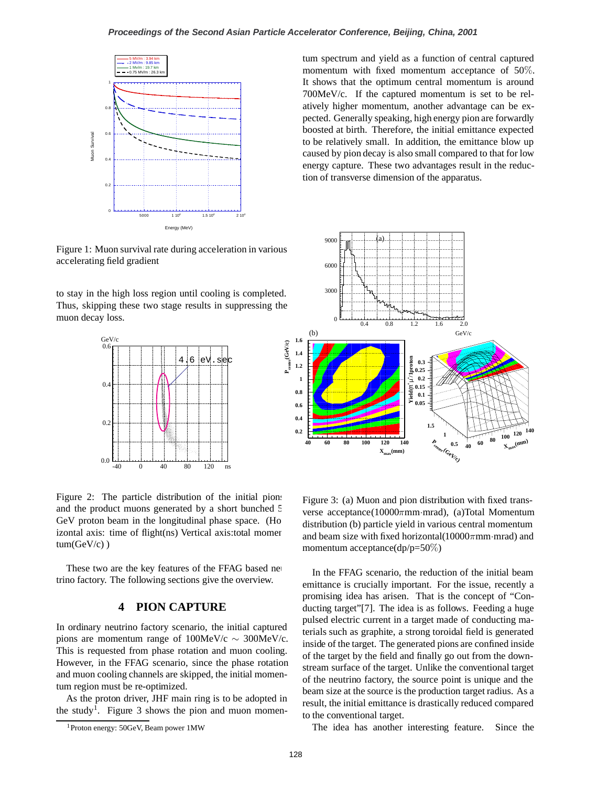### **Proceedings of the Second Asian Particle Accelerator Conference, Beijing, China, 2001**



Figure 1: Muon survival rate during acceleration in various accelerating field gradient

to stay in the high loss region until cooling is completed. Thus, skipping these two stage results in suppressing the muon decay loss.



Figure 2: The particle distribution of the initial pions and the product muons generated by a short bunched 5 GeV proton beam in the longitudinal phase space. (Ho izontal axis: time of flight(ns) Vertical axis: total momen $tum(GeV/c)$ 

These two are the key features of the FFAG based neutrino factory. The following sections give the overview.

## **4 PION CAPTURE**

In ordinary neutrino factory scenario, the initial captured pions are momentum range of  $100$ MeV/c ∼ 300MeV/c. This is requested from phase rotation and muon cooling. However, in the FFAG scenario, since the phase rotation and muon cooling channels are skipped, the initial momentum region must be re-optimized.

As the proton driver, JHF main ring is to be adopted in the study<sup>1</sup>. Figure 3 shows the pion and muon momentum spectrum and yield as a function of central captured momentum with fixed momentum acceptance of 50%. It shows that the optimum central momentum is around 700MeV/c. If the captured momentum is set to be relatively higher momentum, another advantage can be expected. Generally speaking, high energy pion are forwardly boosted at birth. Therefore, the initial emittance expected to be relatively small. In addition, the emittance blow up caused by pion decay is also small compared to that for low energy capture. These two advantages result in the reduction of transverse dimension of the apparatus.



momentum acceptance(dp/p=50%) and beam size with fixed horizontal( $10000\pi$ mm·mrad) and Figure 3: (a) Muon and pion distribution with fixed trans-**0.05** distribution (b) particle yield in various central momentum **berse acceptance(10000πmm·mrad), (a)Total Momentum distribution (b) particle vield in various central momentum** 

 $\mathbf{I}_{\text{in}}$  **4b**  $\mathbf{F} \mathbf{E} \mathbf{A} \mathbf{C}$  accounts 40 In the FFAG scenario, the reduction of the initial beam In the FFAG scenario, the reduction of the initial beam<br>emittance is crucially important. For the issue, recently a promising idea has arisen. That is the concept of "Conducting target"[7]. The idea is as follows. Feeding a huge pulsed electric current in a target made of conducting materials such as graphite, a strong toroidal field is generated inside of the target. The generated pions are confined inside of the target by the field and finally go out from the downstream surface of the target. Unlike the conventional target of the neutrino factory, the source point is unique and the beam size at the source is the production target radius. As a result, the initial emittance is drastically reduced compared to the conventional target.

The idea has another interesting feature. Since the

<sup>1</sup>Proton energy: 50GeV, Beam power 1MW